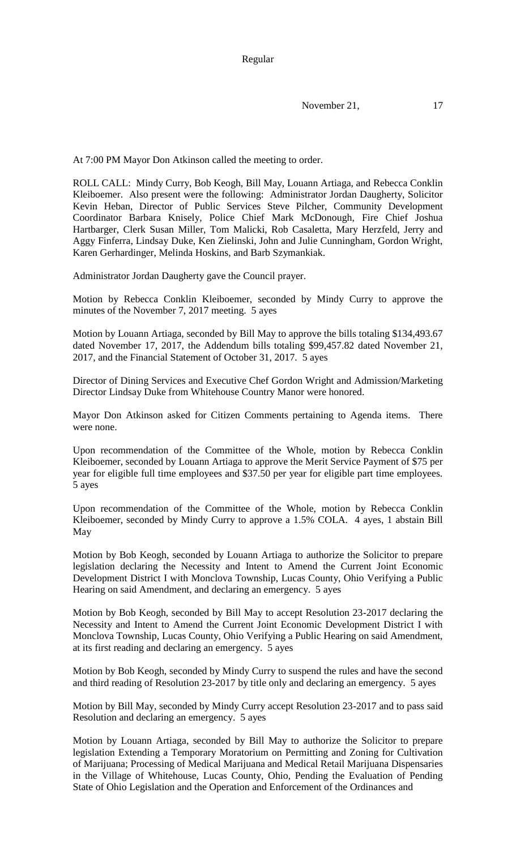Regular

November 21, 17

At 7:00 PM Mayor Don Atkinson called the meeting to order.

ROLL CALL: Mindy Curry, Bob Keogh, Bill May, Louann Artiaga, and Rebecca Conklin Kleiboemer. Also present were the following: Administrator Jordan Daugherty, Solicitor Kevin Heban, Director of Public Services Steve Pilcher, Community Development Coordinator Barbara Knisely, Police Chief Mark McDonough, Fire Chief Joshua Hartbarger, Clerk Susan Miller, Tom Malicki, Rob Casaletta, Mary Herzfeld, Jerry and Aggy Finferra, Lindsay Duke, Ken Zielinski, John and Julie Cunningham, Gordon Wright, Karen Gerhardinger, Melinda Hoskins, and Barb Szymankiak.

Administrator Jordan Daugherty gave the Council prayer.

Motion by Rebecca Conklin Kleiboemer, seconded by Mindy Curry to approve the minutes of the November 7, 2017 meeting. 5 ayes

Motion by Louann Artiaga, seconded by Bill May to approve the bills totaling \$134,493.67 dated November 17, 2017, the Addendum bills totaling \$99,457.82 dated November 21, 2017, and the Financial Statement of October 31, 2017. 5 ayes

Director of Dining Services and Executive Chef Gordon Wright and Admission/Marketing Director Lindsay Duke from Whitehouse Country Manor were honored.

Mayor Don Atkinson asked for Citizen Comments pertaining to Agenda items. There were none.

Upon recommendation of the Committee of the Whole, motion by Rebecca Conklin Kleiboemer, seconded by Louann Artiaga to approve the Merit Service Payment of \$75 per year for eligible full time employees and \$37.50 per year for eligible part time employees. 5 ayes

Upon recommendation of the Committee of the Whole, motion by Rebecca Conklin Kleiboemer, seconded by Mindy Curry to approve a 1.5% COLA. 4 ayes, 1 abstain Bill May

Motion by Bob Keogh, seconded by Louann Artiaga to authorize the Solicitor to prepare legislation declaring the Necessity and Intent to Amend the Current Joint Economic Development District I with Monclova Township, Lucas County, Ohio Verifying a Public Hearing on said Amendment, and declaring an emergency. 5 ayes

Motion by Bob Keogh, seconded by Bill May to accept Resolution 23-2017 declaring the Necessity and Intent to Amend the Current Joint Economic Development District I with Monclova Township, Lucas County, Ohio Verifying a Public Hearing on said Amendment, at its first reading and declaring an emergency. 5 ayes

Motion by Bob Keogh, seconded by Mindy Curry to suspend the rules and have the second and third reading of Resolution 23-2017 by title only and declaring an emergency. 5 ayes

Motion by Bill May, seconded by Mindy Curry accept Resolution 23-2017 and to pass said Resolution and declaring an emergency. 5 ayes

Motion by Louann Artiaga, seconded by Bill May to authorize the Solicitor to prepare legislation Extending a Temporary Moratorium on Permitting and Zoning for Cultivation of Marijuana; Processing of Medical Marijuana and Medical Retail Marijuana Dispensaries in the Village of Whitehouse, Lucas County, Ohio, Pending the Evaluation of Pending State of Ohio Legislation and the Operation and Enforcement of the Ordinances and